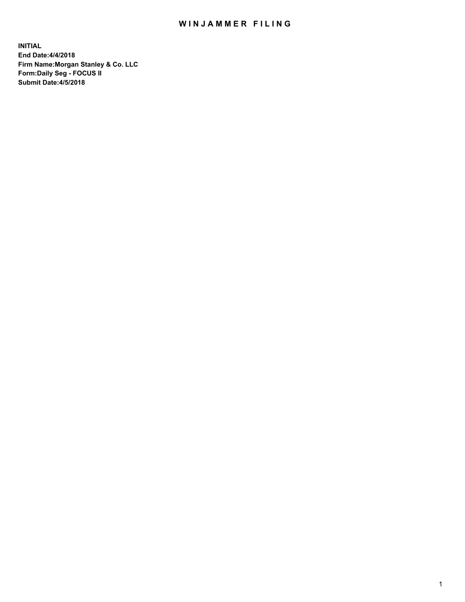## WIN JAMMER FILING

**INITIAL End Date:4/4/2018 Firm Name:Morgan Stanley & Co. LLC Form:Daily Seg - FOCUS II Submit Date:4/5/2018**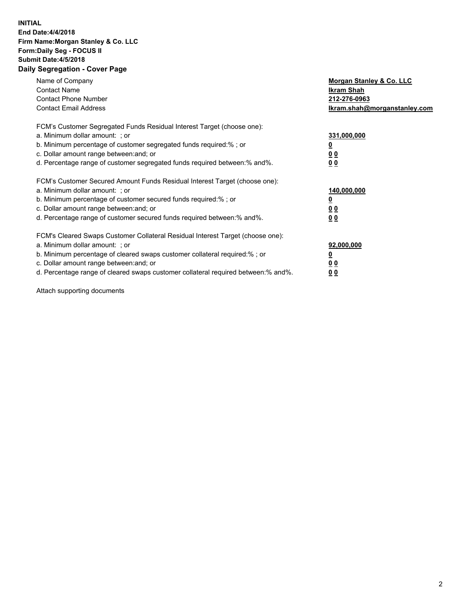## **INITIAL End Date:4/4/2018 Firm Name:Morgan Stanley & Co. LLC Form:Daily Seg - FOCUS II Submit Date:4/5/2018 Daily Segregation - Cover Page**

| Name of Company<br><b>Contact Name</b><br><b>Contact Phone Number</b><br><b>Contact Email Address</b>                                                                                                                                                                                                                          | Morgan Stanley & Co. LLC<br>Ikram Shah<br>212-276-0963<br>Ikram.shah@morganstanley.com |
|--------------------------------------------------------------------------------------------------------------------------------------------------------------------------------------------------------------------------------------------------------------------------------------------------------------------------------|----------------------------------------------------------------------------------------|
| FCM's Customer Segregated Funds Residual Interest Target (choose one):<br>a. Minimum dollar amount: ; or<br>b. Minimum percentage of customer segregated funds required:%; or<br>c. Dollar amount range between: and; or<br>d. Percentage range of customer segregated funds required between:% and%.                          | 331,000,000<br>00<br>0 <sub>0</sub>                                                    |
| FCM's Customer Secured Amount Funds Residual Interest Target (choose one):<br>a. Minimum dollar amount: ; or<br>b. Minimum percentage of customer secured funds required:%; or<br>c. Dollar amount range between: and; or<br>d. Percentage range of customer secured funds required between: % and %.                          | 140,000,000<br>00<br>00                                                                |
| FCM's Cleared Swaps Customer Collateral Residual Interest Target (choose one):<br>a. Minimum dollar amount: ; or<br>b. Minimum percentage of cleared swaps customer collateral required:% ; or<br>c. Dollar amount range between: and; or<br>d. Percentage range of cleared swaps customer collateral required between:% and%. | 92,000,000<br>0 <sub>0</sub><br>0 <sub>0</sub>                                         |

Attach supporting documents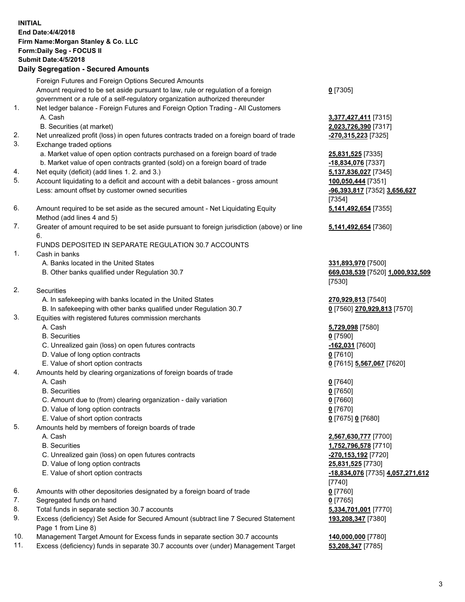## **INITIAL End Date:4/4/2018 Firm Name:Morgan Stanley & Co. LLC Form:Daily Seg - FOCUS II Submit Date:4/5/2018 Daily Segregation - Secured Amounts** Foreign Futures and Foreign Options Secured Amounts Amount required to be set aside pursuant to law, rule or regulation of a foreign government or a rule of a self-regulatory organization authorized thereunder **0** [7305] 1. Net ledger balance - Foreign Futures and Foreign Option Trading - All Customers A. Cash **3,377,427,411** [7315] B. Securities (at market) **2,023,726,390** [7317] 2. Net unrealized profit (loss) in open futures contracts traded on a foreign board of trade **-270,315,223** [7325] 3. Exchange traded options a. Market value of open option contracts purchased on a foreign board of trade **25,831,525** [7335] b. Market value of open contracts granted (sold) on a foreign board of trade **-18,834,076** [7337] 4. Net equity (deficit) (add lines 1. 2. and 3.) **5,137,836,027** [7345] 5. Account liquidating to a deficit and account with a debit balances - gross amount **100,050,444** [7351] Less: amount offset by customer owned securities **-96,393,817** [7352] **3,656,627** [7354] 6. Amount required to be set aside as the secured amount - Net Liquidating Equity Method (add lines 4 and 5) **5,141,492,654** [7355] 7. Greater of amount required to be set aside pursuant to foreign jurisdiction (above) or line 6. **5,141,492,654** [7360] FUNDS DEPOSITED IN SEPARATE REGULATION 30.7 ACCOUNTS 1. Cash in banks A. Banks located in the United States **331,893,970** [7500] B. Other banks qualified under Regulation 30.7 **669,038,539** [7520] **1,000,932,509** [7530] 2. Securities A. In safekeeping with banks located in the United States **270,929,813** [7540] B. In safekeeping with other banks qualified under Regulation 30.7 **0** [7560] **270,929,813** [7570] 3. Equities with registered futures commission merchants A. Cash **5,729,098** [7580] B. Securities **0** [7590] C. Unrealized gain (loss) on open futures contracts **-162,031** [7600] D. Value of long option contracts **0** [7610] E. Value of short option contracts **0** [7615] **5,567,067** [7620] 4. Amounts held by clearing organizations of foreign boards of trade A. Cash **0** [7640] B. Securities **0** [7650] C. Amount due to (from) clearing organization - daily variation **0** [7660] D. Value of long option contracts **0** [7670] E. Value of short option contracts **0** [7675] **0** [7680] 5. Amounts held by members of foreign boards of trade A. Cash **2,567,630,777** [7700] B. Securities **1,752,796,578** [7710] C. Unrealized gain (loss) on open futures contracts **-270,153,192** [7720] D. Value of long option contracts **25,831,525** [7730] E. Value of short option contracts **-18,834,076** [7735] **4,057,271,612** [7740] 6. Amounts with other depositories designated by a foreign board of trade **0** [7760] 7. Segregated funds on hand **0** [7765] 8. Total funds in separate section 30.7 accounts **5,334,701,001** [7770] 9. Excess (deficiency) Set Aside for Secured Amount (subtract line 7 Secured Statement **193,208,347** [7380]

- Page 1 from Line 8) 10. Management Target Amount for Excess funds in separate section 30.7 accounts **140,000,000** [7780]
- 11. Excess (deficiency) funds in separate 30.7 accounts over (under) Management Target **53,208,347** [7785]

3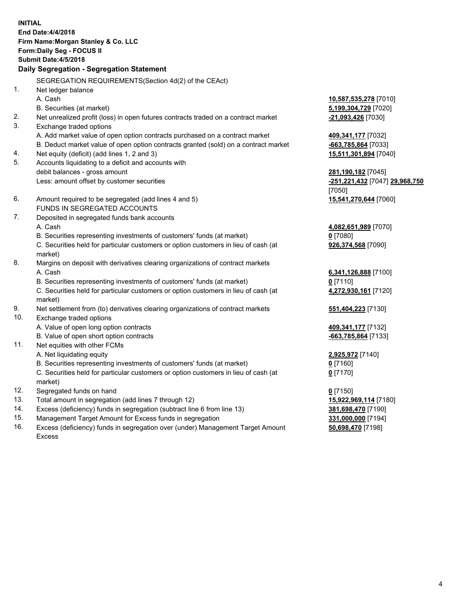**INITIAL End Date:4/4/2018 Firm Name:Morgan Stanley & Co. LLC Form:Daily Seg - FOCUS II Submit Date:4/5/2018 Daily Segregation - Segregation Statement** SEGREGATION REQUIREMENTS(Section 4d(2) of the CEAct) 1. Net ledger balance A. Cash **10,587,535,278** [7010] B. Securities (at market) **5,199,304,729** [7020] 2. Net unrealized profit (loss) in open futures contracts traded on a contract market **-21,093,426** [7030] 3. Exchange traded options A. Add market value of open option contracts purchased on a contract market **409,341,177** [7032] B. Deduct market value of open option contracts granted (sold) on a contract market **-663,785,864** [7033] 4. Net equity (deficit) (add lines 1, 2 and 3) **15,511,301,894** [7040] 5. Accounts liquidating to a deficit and accounts with debit balances - gross amount **281,190,182** [7045] Less: amount offset by customer securities **-251,221,432** [7047] **29,968,750** [7050] 6. Amount required to be segregated (add lines 4 and 5) **15,541,270,644** [7060] FUNDS IN SEGREGATED ACCOUNTS 7. Deposited in segregated funds bank accounts A. Cash **4,082,651,989** [7070] B. Securities representing investments of customers' funds (at market) **0** [7080] C. Securities held for particular customers or option customers in lieu of cash (at market) **926,374,568** [7090] 8. Margins on deposit with derivatives clearing organizations of contract markets A. Cash **6,341,126,888** [7100] B. Securities representing investments of customers' funds (at market) **0** [7110] C. Securities held for particular customers or option customers in lieu of cash (at market) **4,272,930,161** [7120] 9. Net settlement from (to) derivatives clearing organizations of contract markets **551,404,223** [7130] 10. Exchange traded options A. Value of open long option contracts **409,341,177** [7132] B. Value of open short option contracts **-663,785,864** [7133] 11. Net equities with other FCMs A. Net liquidating equity **2,925,972** [7140] B. Securities representing investments of customers' funds (at market) **0** [7160] C. Securities held for particular customers or option customers in lieu of cash (at market) **0** [7170] 12. Segregated funds on hand **0** [7150] 13. Total amount in segregation (add lines 7 through 12) **15,922,969,114** [7180] 14. Excess (deficiency) funds in segregation (subtract line 6 from line 13) **381,698,470** [7190]

- 15. Management Target Amount for Excess funds in segregation **331,000,000** [7194]
- 16. Excess (deficiency) funds in segregation over (under) Management Target Amount Excess

**50,698,470** [7198]